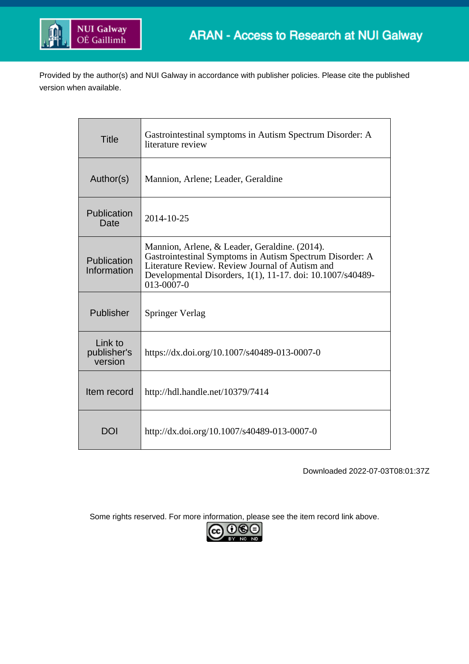

Provided by the author(s) and NUI Galway in accordance with publisher policies. Please cite the published version when available.

| <b>Title</b>                      | Gastrointestinal symptoms in Autism Spectrum Disorder: A<br>literature review                                                                                                                                                            |
|-----------------------------------|------------------------------------------------------------------------------------------------------------------------------------------------------------------------------------------------------------------------------------------|
| Author(s)                         | Mannion, Arlene; Leader, Geraldine                                                                                                                                                                                                       |
| Publication<br>Date               | 2014-10-25                                                                                                                                                                                                                               |
| Publication<br>Information        | Mannion, Arlene, & Leader, Geraldine. (2014).<br>Gastrointestinal Symptoms in Autism Spectrum Disorder: A<br>Literature Review. Review Journal of Autism and<br>Developmental Disorders, 1(1), 11-17. doi: 10.1007/s40489-<br>013-0007-0 |
| Publisher                         | <b>Springer Verlag</b>                                                                                                                                                                                                                   |
| Link to<br>publisher's<br>version | https://dx.doi.org/10.1007/s40489-013-0007-0                                                                                                                                                                                             |
| Item record                       | http://hdl.handle.net/10379/7414                                                                                                                                                                                                         |
| <b>DOI</b>                        | http://dx.doi.org/10.1007/s40489-013-0007-0                                                                                                                                                                                              |

Downloaded 2022-07-03T08:01:37Z

Some rights reserved. For more information, please see the item record link above.

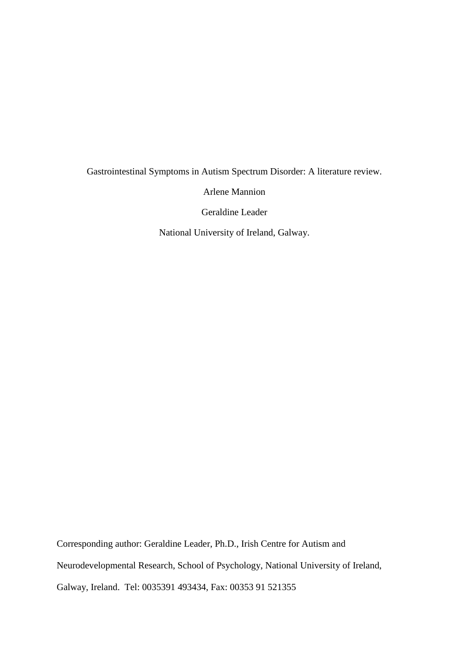# Gastrointestinal Symptoms in Autism Spectrum Disorder: A literature review.

Arlene Mannion

Geraldine Leader

National University of Ireland, Galway.

Corresponding author: Geraldine Leader, Ph.D., Irish Centre for Autism and Neurodevelopmental Research, School of Psychology, National University of Ireland, Galway, Ireland. Tel: 0035391 493434, Fax: 00353 91 521355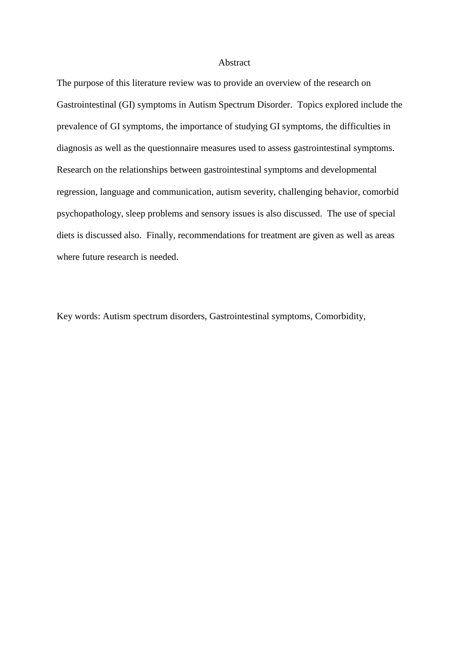#### Abstract

The purpose of this literature review was to provide an overview of the research on Gastrointestinal (GI) symptoms in Autism Spectrum Disorder. Topics explored include the prevalence of GI symptoms, the importance of studying GI symptoms, the difficulties in diagnosis as well as the questionnaire measures used to assess gastrointestinal symptoms. Research on the relationships between gastrointestinal symptoms and developmental regression, language and communication, autism severity, challenging behavior, comorbid psychopathology, sleep problems and sensory issues is also discussed. The use of special diets is discussed also. Finally, recommendations for treatment are given as well as areas where future research is needed.

Key words: Autism spectrum disorders, Gastrointestinal symptoms, Comorbidity,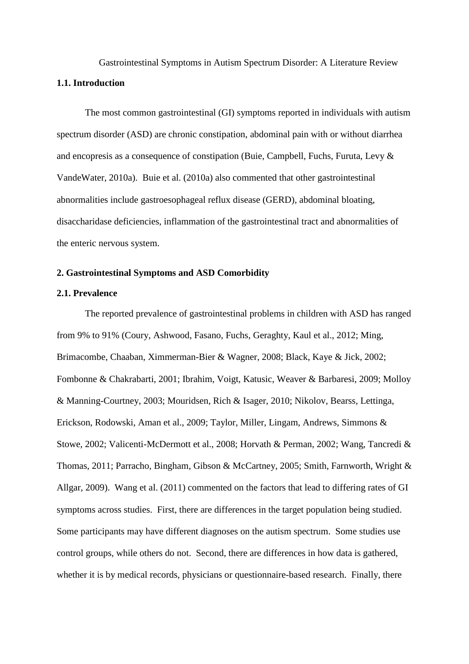Gastrointestinal Symptoms in Autism Spectrum Disorder: A Literature Review **1.1. Introduction**

The most common gastrointestinal (GI) symptoms reported in individuals with autism spectrum disorder (ASD) are chronic constipation, abdominal pain with or without diarrhea and encopresis as a consequence of constipation (Buie, Campbell, Fuchs, Furuta, Levy & VandeWater, 2010a). Buie et al. (2010a) also commented that other gastrointestinal abnormalities include gastroesophageal reflux disease (GERD), abdominal bloating, disaccharidase deficiencies, inflammation of the gastrointestinal tract and abnormalities of the enteric nervous system.

# **2. Gastrointestinal Symptoms and ASD Comorbidity**

# **2.1. Prevalence**

The reported prevalence of gastrointestinal problems in children with ASD has ranged from 9% to 91% (Coury, Ashwood, Fasano, Fuchs, Geraghty, Kaul et al., 2012; Ming, Brimacombe, Chaaban, Ximmerman-Bier & Wagner, 2008; Black, Kaye & Jick, 2002; Fombonne & Chakrabarti, 2001; Ibrahim, Voigt, Katusic, Weaver & Barbaresi, 2009; Molloy & Manning-Courtney, 2003; Mouridsen, Rich & Isager, 2010; Nikolov, Bearss, Lettinga, Erickson, Rodowski, Aman et al., 2009; Taylor, Miller, Lingam, Andrews, Simmons & Stowe, 2002; Valicenti-McDermott et al., 2008; Horvath & Perman, 2002; Wang, Tancredi & Thomas, 2011; Parracho, Bingham, Gibson & McCartney, 2005; Smith, Farnworth, Wright & Allgar, 2009). Wang et al. (2011) commented on the factors that lead to differing rates of GI symptoms across studies. First, there are differences in the target population being studied. Some participants may have different diagnoses on the autism spectrum. Some studies use control groups, while others do not. Second, there are differences in how data is gathered, whether it is by medical records, physicians or questionnaire-based research. Finally, there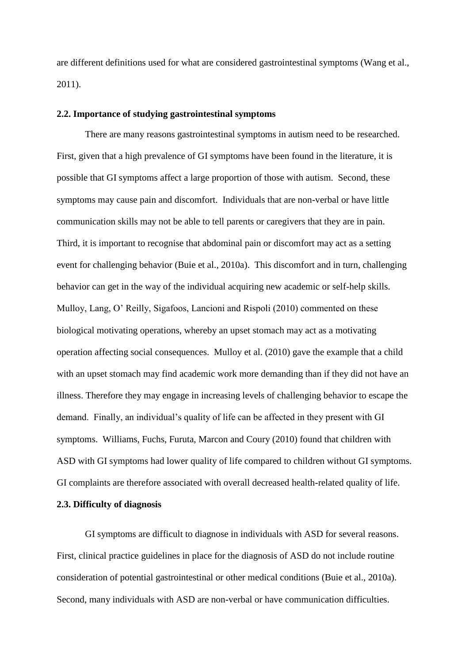are different definitions used for what are considered gastrointestinal symptoms (Wang et al., 2011).

# **2.2. Importance of studying gastrointestinal symptoms**

There are many reasons gastrointestinal symptoms in autism need to be researched. First, given that a high prevalence of GI symptoms have been found in the literature, it is possible that GI symptoms affect a large proportion of those with autism. Second, these symptoms may cause pain and discomfort. Individuals that are non-verbal or have little communication skills may not be able to tell parents or caregivers that they are in pain. Third, it is important to recognise that abdominal pain or discomfort may act as a setting event for challenging behavior (Buie et al., 2010a). This discomfort and in turn, challenging behavior can get in the way of the individual acquiring new academic or self-help skills. Mulloy, Lang, O' Reilly, Sigafoos, Lancioni and Rispoli (2010) commented on these biological motivating operations, whereby an upset stomach may act as a motivating operation affecting social consequences. Mulloy et al. (2010) gave the example that a child with an upset stomach may find academic work more demanding than if they did not have an illness. Therefore they may engage in increasing levels of challenging behavior to escape the demand. Finally, an individual's quality of life can be affected in they present with GI symptoms. Williams, Fuchs, Furuta, Marcon and Coury (2010) found that children with ASD with GI symptoms had lower quality of life compared to children without GI symptoms. GI complaints are therefore associated with overall decreased health-related quality of life.

# **2.3. Difficulty of diagnosis**

GI symptoms are difficult to diagnose in individuals with ASD for several reasons. First, clinical practice guidelines in place for the diagnosis of ASD do not include routine consideration of potential gastrointestinal or other medical conditions (Buie et al., 2010a). Second, many individuals with ASD are non-verbal or have communication difficulties.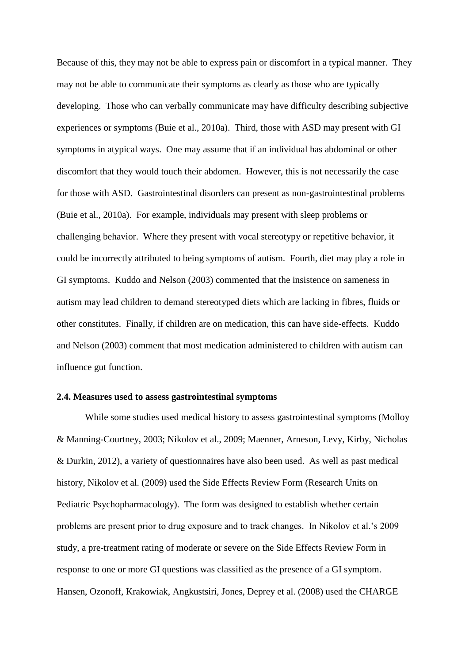Because of this, they may not be able to express pain or discomfort in a typical manner. They may not be able to communicate their symptoms as clearly as those who are typically developing. Those who can verbally communicate may have difficulty describing subjective experiences or symptoms (Buie et al., 2010a). Third, those with ASD may present with GI symptoms in atypical ways. One may assume that if an individual has abdominal or other discomfort that they would touch their abdomen. However, this is not necessarily the case for those with ASD. Gastrointestinal disorders can present as non-gastrointestinal problems (Buie et al., 2010a). For example, individuals may present with sleep problems or challenging behavior. Where they present with vocal stereotypy or repetitive behavior, it could be incorrectly attributed to being symptoms of autism. Fourth, diet may play a role in GI symptoms. Kuddo and Nelson (2003) commented that the insistence on sameness in autism may lead children to demand stereotyped diets which are lacking in fibres, fluids or other constitutes. Finally, if children are on medication, this can have side-effects. Kuddo and Nelson (2003) comment that most medication administered to children with autism can influence gut function.

# **2.4. Measures used to assess gastrointestinal symptoms**

While some studies used medical history to assess gastrointestinal symptoms (Molloy & Manning-Courtney, 2003; Nikolov et al., 2009; Maenner, Arneson, Levy, Kirby, Nicholas & Durkin, 2012), a variety of questionnaires have also been used. As well as past medical history, Nikolov et al. (2009) used the Side Effects Review Form (Research Units on Pediatric Psychopharmacology). The form was designed to establish whether certain problems are present prior to drug exposure and to track changes. In Nikolov et al.'s 2009 study, a pre-treatment rating of moderate or severe on the Side Effects Review Form in response to one or more GI questions was classified as the presence of a GI symptom. Hansen, Ozonoff, Krakowiak, Angkustsiri, Jones, Deprey et al. (2008) used the CHARGE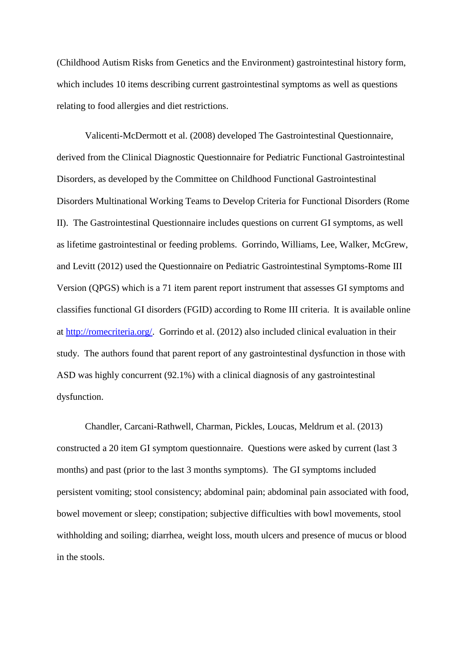(Childhood Autism Risks from Genetics and the Environment) gastrointestinal history form, which includes 10 items describing current gastrointestinal symptoms as well as questions relating to food allergies and diet restrictions.

Valicenti-McDermott et al. (2008) developed The Gastrointestinal Questionnaire, derived from the Clinical Diagnostic Questionnaire for Pediatric Functional Gastrointestinal Disorders, as developed by the Committee on Childhood Functional Gastrointestinal Disorders Multinational Working Teams to Develop Criteria for Functional Disorders (Rome II). The Gastrointestinal Questionnaire includes questions on current GI symptoms, as well as lifetime gastrointestinal or feeding problems. Gorrindo, Williams, Lee, Walker, McGrew, and Levitt (2012) used the Questionnaire on Pediatric Gastrointestinal Symptoms-Rome III Version (QPGS) which is a 71 item parent report instrument that assesses GI symptoms and classifies functional GI disorders (FGID) according to Rome III criteria. It is available online at [http://romecriteria.org/.](http://romecriteria.org/) Gorrindo et al. (2012) also included clinical evaluation in their study. The authors found that parent report of any gastrointestinal dysfunction in those with ASD was highly concurrent (92.1%) with a clinical diagnosis of any gastrointestinal dysfunction.

Chandler, Carcani-Rathwell, Charman, Pickles, Loucas, Meldrum et al. (2013) constructed a 20 item GI symptom questionnaire. Questions were asked by current (last 3 months) and past (prior to the last 3 months symptoms). The GI symptoms included persistent vomiting; stool consistency; abdominal pain; abdominal pain associated with food, bowel movement or sleep; constipation; subjective difficulties with bowl movements, stool withholding and soiling; diarrhea, weight loss, mouth ulcers and presence of mucus or blood in the stools.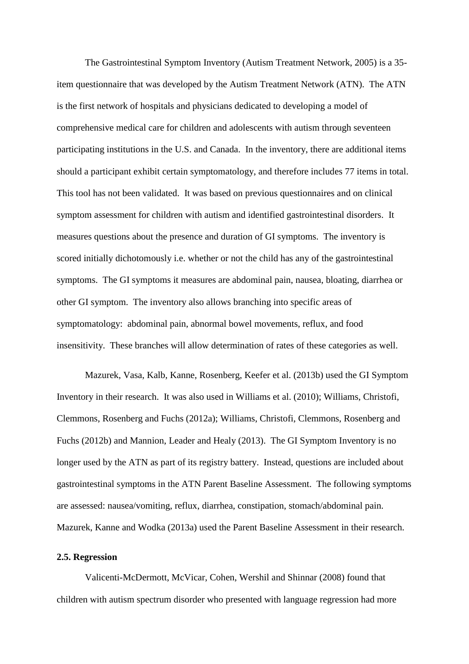The Gastrointestinal Symptom Inventory (Autism Treatment Network, 2005) is a 35 item questionnaire that was developed by the Autism Treatment Network (ATN). The ATN is the first network of hospitals and physicians dedicated to developing a model of comprehensive medical care for children and adolescents with autism through seventeen participating institutions in the U.S. and Canada. In the inventory, there are additional items should a participant exhibit certain symptomatology, and therefore includes 77 items in total. This tool has not been validated. It was based on previous questionnaires and on clinical symptom assessment for children with autism and identified gastrointestinal disorders. It measures questions about the presence and duration of GI symptoms. The inventory is scored initially dichotomously i.e. whether or not the child has any of the gastrointestinal symptoms. The GI symptoms it measures are abdominal pain, nausea, bloating, diarrhea or other GI symptom. The inventory also allows branching into specific areas of symptomatology: abdominal pain, abnormal bowel movements, reflux, and food insensitivity. These branches will allow determination of rates of these categories as well.

Mazurek, Vasa, Kalb, Kanne, Rosenberg, Keefer et al. (2013b) used the GI Symptom Inventory in their research. It was also used in Williams et al. (2010); Williams, Christofi, Clemmons, Rosenberg and Fuchs (2012a); Williams, Christofi, Clemmons, Rosenberg and Fuchs (2012b) and Mannion, Leader and Healy (2013). The GI Symptom Inventory is no longer used by the ATN as part of its registry battery. Instead, questions are included about gastrointestinal symptoms in the ATN Parent Baseline Assessment. The following symptoms are assessed: nausea/vomiting, reflux, diarrhea, constipation, stomach/abdominal pain. Mazurek, Kanne and Wodka (2013a) used the Parent Baseline Assessment in their research.

#### **2.5. Regression**

Valicenti-McDermott, McVicar, Cohen, Wershil and Shinnar (2008) found that children with autism spectrum disorder who presented with language regression had more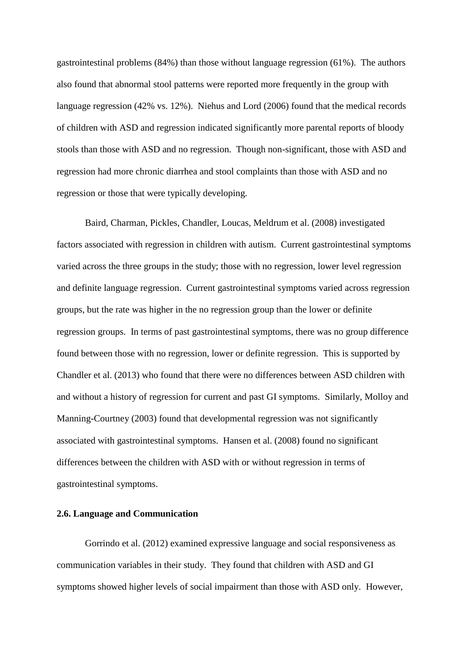gastrointestinal problems (84%) than those without language regression (61%). The authors also found that abnormal stool patterns were reported more frequently in the group with language regression (42% vs. 12%). Niehus and Lord (2006) found that the medical records of children with ASD and regression indicated significantly more parental reports of bloody stools than those with ASD and no regression. Though non-significant, those with ASD and regression had more chronic diarrhea and stool complaints than those with ASD and no regression or those that were typically developing.

Baird, Charman, Pickles, Chandler, Loucas, Meldrum et al. (2008) investigated factors associated with regression in children with autism. Current gastrointestinal symptoms varied across the three groups in the study; those with no regression, lower level regression and definite language regression. Current gastrointestinal symptoms varied across regression groups, but the rate was higher in the no regression group than the lower or definite regression groups. In terms of past gastrointestinal symptoms, there was no group difference found between those with no regression, lower or definite regression. This is supported by Chandler et al. (2013) who found that there were no differences between ASD children with and without a history of regression for current and past GI symptoms. Similarly, Molloy and Manning-Courtney (2003) found that developmental regression was not significantly associated with gastrointestinal symptoms. Hansen et al. (2008) found no significant differences between the children with ASD with or without regression in terms of gastrointestinal symptoms.

#### **2.6. Language and Communication**

Gorrindo et al. (2012) examined expressive language and social responsiveness as communication variables in their study. They found that children with ASD and GI symptoms showed higher levels of social impairment than those with ASD only. However,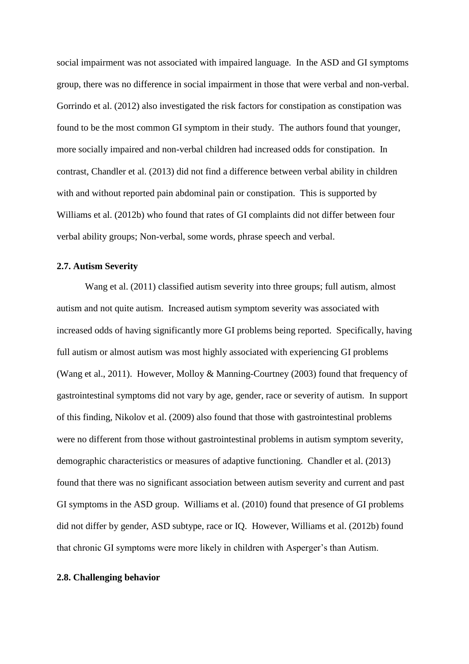social impairment was not associated with impaired language. In the ASD and GI symptoms group, there was no difference in social impairment in those that were verbal and non-verbal. Gorrindo et al. (2012) also investigated the risk factors for constipation as constipation was found to be the most common GI symptom in their study. The authors found that younger, more socially impaired and non-verbal children had increased odds for constipation. In contrast, Chandler et al. (2013) did not find a difference between verbal ability in children with and without reported pain abdominal pain or constipation. This is supported by Williams et al. (2012b) who found that rates of GI complaints did not differ between four verbal ability groups; Non-verbal, some words, phrase speech and verbal.

# **2.7. Autism Severity**

Wang et al. (2011) classified autism severity into three groups; full autism, almost autism and not quite autism. Increased autism symptom severity was associated with increased odds of having significantly more GI problems being reported. Specifically, having full autism or almost autism was most highly associated with experiencing GI problems (Wang et al., 2011). However, Molloy & Manning-Courtney (2003) found that frequency of gastrointestinal symptoms did not vary by age, gender, race or severity of autism. In support of this finding, Nikolov et al. (2009) also found that those with gastrointestinal problems were no different from those without gastrointestinal problems in autism symptom severity, demographic characteristics or measures of adaptive functioning. Chandler et al. (2013) found that there was no significant association between autism severity and current and past GI symptoms in the ASD group. Williams et al. (2010) found that presence of GI problems did not differ by gender, ASD subtype, race or IQ. However, Williams et al. (2012b) found that chronic GI symptoms were more likely in children with Asperger's than Autism.

#### **2.8. Challenging behavior**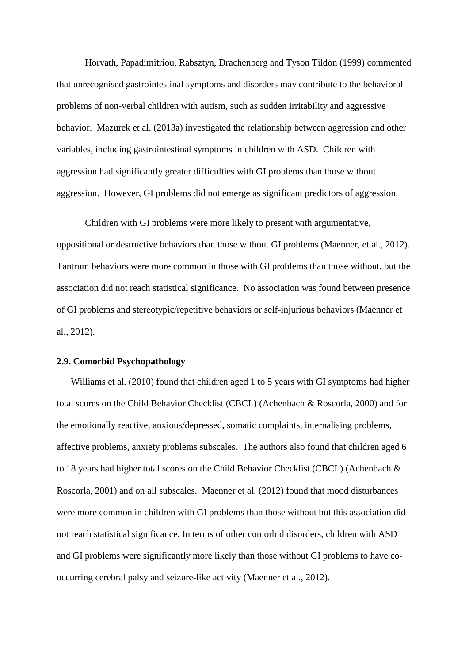Horvath, Papadimitriou, Rabsztyn, Drachenberg and Tyson Tildon (1999) commented that unrecognised gastrointestinal symptoms and disorders may contribute to the behavioral problems of non-verbal children with autism, such as sudden irritability and aggressive behavior. Mazurek et al. (2013a) investigated the relationship between aggression and other variables, including gastrointestinal symptoms in children with ASD. Children with aggression had significantly greater difficulties with GI problems than those without aggression. However, GI problems did not emerge as significant predictors of aggression.

Children with GI problems were more likely to present with argumentative, oppositional or destructive behaviors than those without GI problems (Maenner, et al., 2012). Tantrum behaviors were more common in those with GI problems than those without, but the association did not reach statistical significance. No association was found between presence of GI problems and stereotypic/repetitive behaviors or self-injurious behaviors (Maenner et al., 2012).

# **2.9. Comorbid Psychopathology**

Williams et al. (2010) found that children aged 1 to 5 years with GI symptoms had higher total scores on the Child Behavior Checklist (CBCL) (Achenbach & Roscorla, 2000) and for the emotionally reactive, anxious/depressed, somatic complaints, internalising problems, affective problems, anxiety problems subscales. The authors also found that children aged 6 to 18 years had higher total scores on the Child Behavior Checklist (CBCL) (Achenbach & Roscorla, 2001) and on all subscales. Maenner et al. (2012) found that mood disturbances were more common in children with GI problems than those without but this association did not reach statistical significance. In terms of other comorbid disorders, children with ASD and GI problems were significantly more likely than those without GI problems to have cooccurring cerebral palsy and seizure-like activity (Maenner et al., 2012).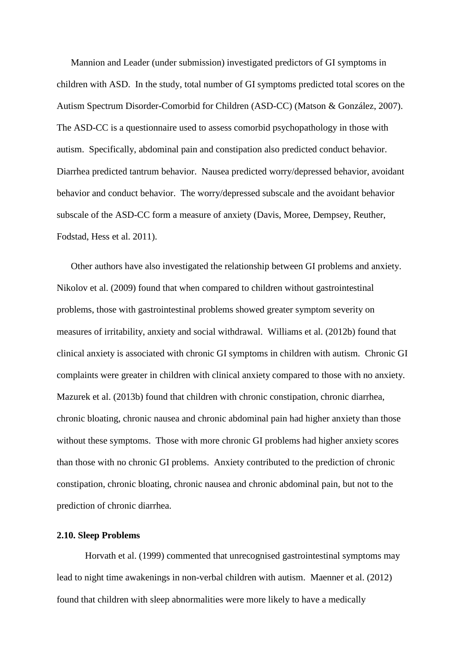Mannion and Leader (under submission) investigated predictors of GI symptoms in children with ASD. In the study, total number of GI symptoms predicted total scores on the Autism Spectrum Disorder-Comorbid for Children (ASD-CC) (Matson & González, 2007). The ASD-CC is a questionnaire used to assess comorbid psychopathology in those with autism. Specifically, abdominal pain and constipation also predicted conduct behavior. Diarrhea predicted tantrum behavior. Nausea predicted worry/depressed behavior, avoidant behavior and conduct behavior. The worry/depressed subscale and the avoidant behavior subscale of the ASD-CC form a measure of anxiety (Davis, Moree, Dempsey, Reuther, Fodstad, Hess et al. 2011).

Other authors have also investigated the relationship between GI problems and anxiety. Nikolov et al. (2009) found that when compared to children without gastrointestinal problems, those with gastrointestinal problems showed greater symptom severity on measures of irritability, anxiety and social withdrawal. Williams et al. (2012b) found that clinical anxiety is associated with chronic GI symptoms in children with autism. Chronic GI complaints were greater in children with clinical anxiety compared to those with no anxiety. Mazurek et al. (2013b) found that children with chronic constipation, chronic diarrhea, chronic bloating, chronic nausea and chronic abdominal pain had higher anxiety than those without these symptoms. Those with more chronic GI problems had higher anxiety scores than those with no chronic GI problems. Anxiety contributed to the prediction of chronic constipation, chronic bloating, chronic nausea and chronic abdominal pain, but not to the prediction of chronic diarrhea.

## **2.10. Sleep Problems**

Horvath et al. (1999) commented that unrecognised gastrointestinal symptoms may lead to night time awakenings in non-verbal children with autism. Maenner et al. (2012) found that children with sleep abnormalities were more likely to have a medically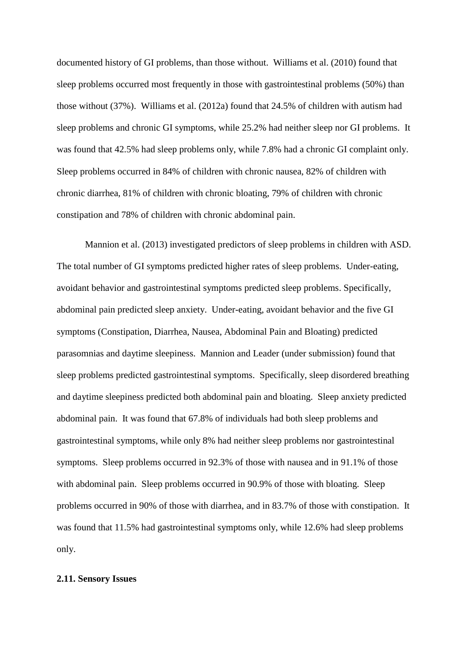documented history of GI problems, than those without. Williams et al. (2010) found that sleep problems occurred most frequently in those with gastrointestinal problems (50%) than those without (37%). Williams et al. (2012a) found that 24.5% of children with autism had sleep problems and chronic GI symptoms, while 25.2% had neither sleep nor GI problems. It was found that 42.5% had sleep problems only, while 7.8% had a chronic GI complaint only. Sleep problems occurred in 84% of children with chronic nausea, 82% of children with chronic diarrhea, 81% of children with chronic bloating, 79% of children with chronic constipation and 78% of children with chronic abdominal pain.

Mannion et al. (2013) investigated predictors of sleep problems in children with ASD. The total number of GI symptoms predicted higher rates of sleep problems. Under-eating, avoidant behavior and gastrointestinal symptoms predicted sleep problems. Specifically, abdominal pain predicted sleep anxiety. Under-eating, avoidant behavior and the five GI symptoms (Constipation, Diarrhea, Nausea, Abdominal Pain and Bloating) predicted parasomnias and daytime sleepiness. Mannion and Leader (under submission) found that sleep problems predicted gastrointestinal symptoms. Specifically, sleep disordered breathing and daytime sleepiness predicted both abdominal pain and bloating. Sleep anxiety predicted abdominal pain. It was found that 67.8% of individuals had both sleep problems and gastrointestinal symptoms, while only 8% had neither sleep problems nor gastrointestinal symptoms. Sleep problems occurred in 92.3% of those with nausea and in 91.1% of those with abdominal pain. Sleep problems occurred in 90.9% of those with bloating. Sleep problems occurred in 90% of those with diarrhea, and in 83.7% of those with constipation. It was found that 11.5% had gastrointestinal symptoms only, while 12.6% had sleep problems only.

### **2.11. Sensory Issues**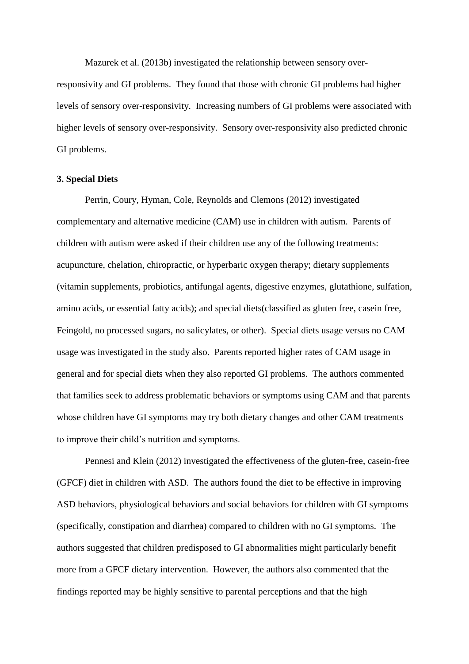Mazurek et al. (2013b) investigated the relationship between sensory overresponsivity and GI problems. They found that those with chronic GI problems had higher levels of sensory over-responsivity. Increasing numbers of GI problems were associated with higher levels of sensory over-responsivity. Sensory over-responsivity also predicted chronic GI problems.

#### **3. Special Diets**

Perrin, Coury, Hyman, Cole, Reynolds and Clemons (2012) investigated complementary and alternative medicine (CAM) use in children with autism. Parents of children with autism were asked if their children use any of the following treatments: acupuncture, chelation, chiropractic, or hyperbaric oxygen therapy; dietary supplements (vitamin supplements, probiotics, antifungal agents, digestive enzymes, glutathione, sulfation, amino acids, or essential fatty acids); and special diets(classified as gluten free, casein free, Feingold, no processed sugars, no salicylates, or other). Special diets usage versus no CAM usage was investigated in the study also. Parents reported higher rates of CAM usage in general and for special diets when they also reported GI problems. The authors commented that families seek to address problematic behaviors or symptoms using CAM and that parents whose children have GI symptoms may try both dietary changes and other CAM treatments to improve their child's nutrition and symptoms.

Pennesi and Klein (2012) investigated the effectiveness of the gluten-free, casein-free (GFCF) diet in children with ASD. The authors found the diet to be effective in improving ASD behaviors, physiological behaviors and social behaviors for children with GI symptoms (specifically, constipation and diarrhea) compared to children with no GI symptoms. The authors suggested that children predisposed to GI abnormalities might particularly benefit more from a GFCF dietary intervention. However, the authors also commented that the findings reported may be highly sensitive to parental perceptions and that the high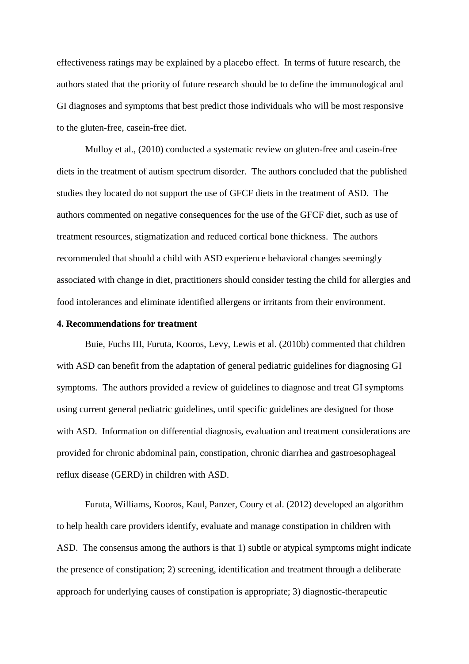effectiveness ratings may be explained by a placebo effect. In terms of future research, the authors stated that the priority of future research should be to define the immunological and GI diagnoses and symptoms that best predict those individuals who will be most responsive to the gluten-free, casein-free diet.

Mulloy et al., (2010) conducted a systematic review on gluten-free and casein-free diets in the treatment of autism spectrum disorder. The authors concluded that the published studies they located do not support the use of GFCF diets in the treatment of ASD. The authors commented on negative consequences for the use of the GFCF diet, such as use of treatment resources, stigmatization and reduced cortical bone thickness. The authors recommended that should a child with ASD experience behavioral changes seemingly associated with change in diet, practitioners should consider testing the child for allergies and food intolerances and eliminate identified allergens or irritants from their environment.

## **4. Recommendations for treatment**

Buie, Fuchs III, Furuta, Kooros, Levy, Lewis et al. (2010b) commented that children with ASD can benefit from the adaptation of general pediatric guidelines for diagnosing GI symptoms. The authors provided a review of guidelines to diagnose and treat GI symptoms using current general pediatric guidelines, until specific guidelines are designed for those with ASD. Information on differential diagnosis, evaluation and treatment considerations are provided for chronic abdominal pain, constipation, chronic diarrhea and gastroesophageal reflux disease (GERD) in children with ASD.

Furuta, Williams, Kooros, Kaul, Panzer, Coury et al. (2012) developed an algorithm to help health care providers identify, evaluate and manage constipation in children with ASD. The consensus among the authors is that 1) subtle or atypical symptoms might indicate the presence of constipation; 2) screening, identification and treatment through a deliberate approach for underlying causes of constipation is appropriate; 3) diagnostic-therapeutic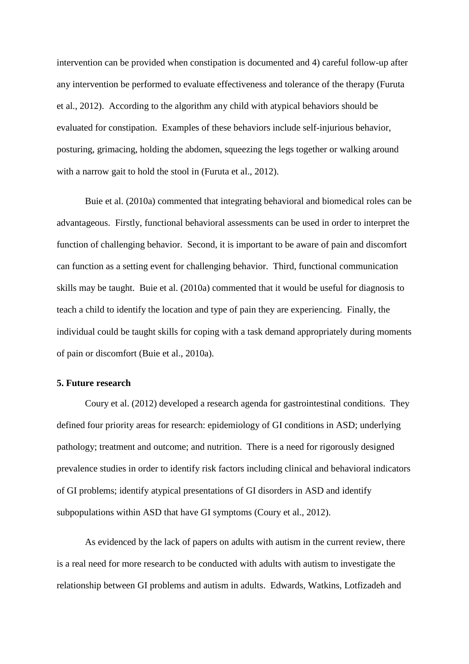intervention can be provided when constipation is documented and 4) careful follow-up after any intervention be performed to evaluate effectiveness and tolerance of the therapy (Furuta et al., 2012). According to the algorithm any child with atypical behaviors should be evaluated for constipation. Examples of these behaviors include self-injurious behavior, posturing, grimacing, holding the abdomen, squeezing the legs together or walking around with a narrow gait to hold the stool in (Furuta et al., 2012).

Buie et al. (2010a) commented that integrating behavioral and biomedical roles can be advantageous. Firstly, functional behavioral assessments can be used in order to interpret the function of challenging behavior. Second, it is important to be aware of pain and discomfort can function as a setting event for challenging behavior. Third, functional communication skills may be taught. Buie et al. (2010a) commented that it would be useful for diagnosis to teach a child to identify the location and type of pain they are experiencing. Finally, the individual could be taught skills for coping with a task demand appropriately during moments of pain or discomfort (Buie et al., 2010a).

#### **5. Future research**

Coury et al. (2012) developed a research agenda for gastrointestinal conditions. They defined four priority areas for research: epidemiology of GI conditions in ASD; underlying pathology; treatment and outcome; and nutrition. There is a need for rigorously designed prevalence studies in order to identify risk factors including clinical and behavioral indicators of GI problems; identify atypical presentations of GI disorders in ASD and identify subpopulations within ASD that have GI symptoms (Coury et al., 2012).

As evidenced by the lack of papers on adults with autism in the current review, there is a real need for more research to be conducted with adults with autism to investigate the relationship between GI problems and autism in adults. Edwards, Watkins, Lotfizadeh and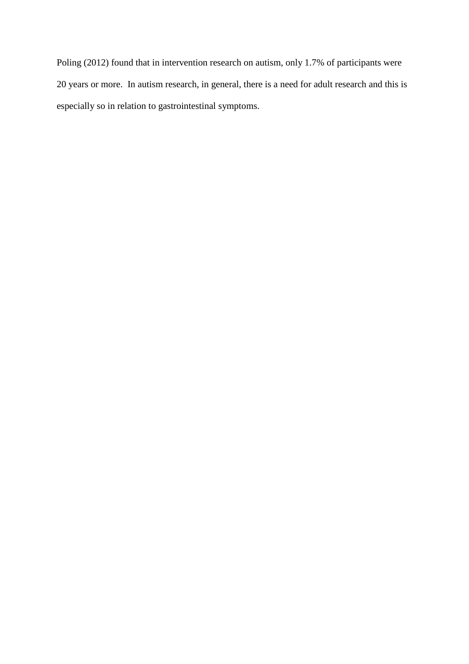Poling (2012) found that in intervention research on autism, only 1.7% of participants were 20 years or more. In autism research, in general, there is a need for adult research and this is especially so in relation to gastrointestinal symptoms.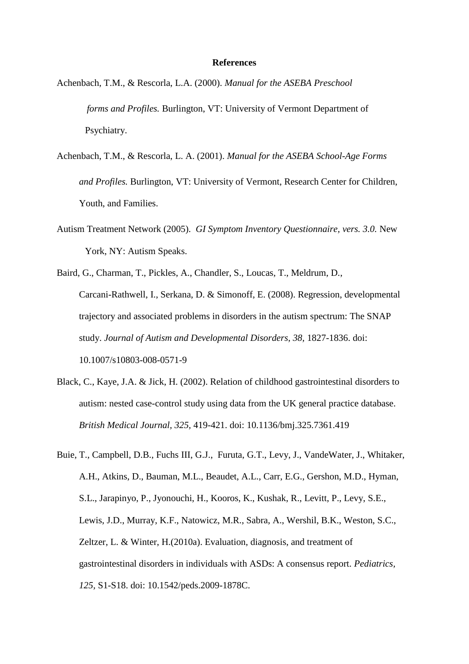#### **References**

- Achenbach, T.M., & Rescorla, L.A. (2000). *Manual for the ASEBA Preschool forms and Profiles.* Burlington, VT: University of Vermont Department of Psychiatry.
- Achenbach, T.M., & Rescorla, L. A. (2001). *Manual for the ASEBA School-Age Forms and Profiles.* Burlington, VT: University of Vermont, Research Center for Children, Youth, and Families.
- Autism Treatment Network (2005). *GI Symptom Inventory Questionnaire, vers. 3.0.* New York, NY: Autism Speaks.
- Baird, G., Charman, T., Pickles, A., Chandler, S., Loucas, T., Meldrum, D., Carcani-Rathwell, I., Serkana, D. & Simonoff, E. (2008). Regression, developmental trajectory and associated problems in disorders in the autism spectrum: The SNAP study. *Journal of Autism and Developmental Disorders, 38,* 1827-1836. doi: 10.1007/s10803-008-0571-9
- Black, C., Kaye, J.A. & Jick, H. (2002). Relation of childhood gastrointestinal disorders to autism: nested case-control study using data from the UK general practice database. *British Medical Journal, 325,* 419-421. doi: 10.1136/bmj.325.7361.419
- Buie, T., Campbell, D.B., Fuchs III, G.J., Furuta, G.T., Levy, J., VandeWater, J., Whitaker, A.H., Atkins, D., Bauman, M.L., Beaudet, A.L., Carr, E.G., Gershon, M.D., Hyman, S.L., Jarapinyo, P., Jyonouchi, H., Kooros, K., Kushak, R., Levitt, P., Levy, S.E., Lewis, J.D., Murray, K.F., Natowicz, M.R., Sabra, A., Wershil, B.K., Weston, S.C., Zeltzer, L. & Winter, H.(2010a). Evaluation, diagnosis, and treatment of gastrointestinal disorders in individuals with ASDs: A consensus report. *Pediatrics, 125,* S1-S18. doi: 10.1542/peds.2009-1878C.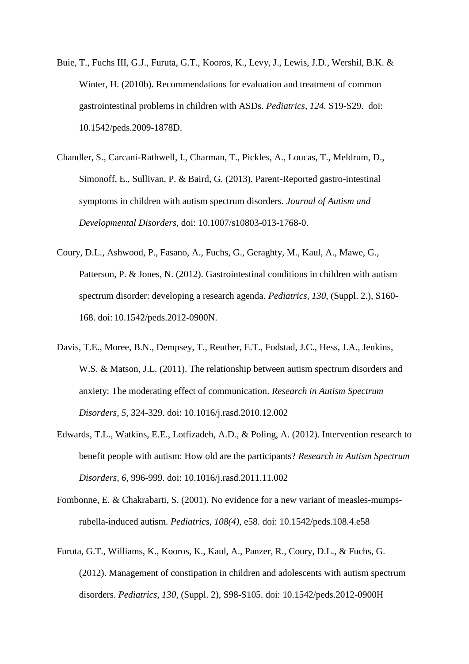- Buie, T., Fuchs III, G.J., Furuta, G.T., Kooros, K., Levy, J., Lewis, J.D., Wershil, B.K. & Winter, H. (2010b). Recommendations for evaluation and treatment of common gastrointestinal problems in children with ASDs. *Pediatrics, 124.* S19-S29. doi: 10.1542/peds.2009-1878D.
- Chandler, S., Carcani-Rathwell, I., Charman, T., Pickles, A., Loucas, T., Meldrum, D., Simonoff, E., Sullivan, P. & Baird, G. (2013). Parent-Reported gastro-intestinal symptoms in children with autism spectrum disorders. *Journal of Autism and Developmental Disorders,* doi: 10.1007/s10803-013-1768-0.
- Coury, D.L., Ashwood, P., Fasano, A., Fuchs, G., Geraghty, M., Kaul, A., Mawe, G., Patterson, P. & Jones, N. (2012). Gastrointestinal conditions in children with autism spectrum disorder: developing a research agenda. *Pediatrics, 130,* (Suppl. 2.), S160- 168. doi: 10.1542/peds.2012-0900N.
- Davis, T.E., Moree, B.N., Dempsey, T., Reuther, E.T., Fodstad, J.C., Hess, J.A., Jenkins, W.S. & Matson, J.L. (2011). The relationship between autism spectrum disorders and anxiety: The moderating effect of communication. *Research in Autism Spectrum Disorders, 5,* 324-329. doi: 10.1016/j.rasd.2010.12.002
- Edwards, T.L., Watkins, E.E., Lotfizadeh, A.D., & Poling, A. (2012). Intervention research to benefit people with autism: How old are the participants? *Research in Autism Spectrum Disorders, 6,* 996-999. doi: 10.1016/j.rasd.2011.11.002
- Fombonne, E. & Chakrabarti, S. (2001). No evidence for a new variant of measles-mumpsrubella-induced autism. *Pediatrics, 108(4),* e58. doi: 10.1542/peds.108.4.e58
- Furuta, G.T., Williams, K., Kooros, K., Kaul, A., Panzer, R., Coury, D.L., & Fuchs, G. (2012). Management of constipation in children and adolescents with autism spectrum disorders. *Pediatrics, 130*, (Suppl. 2), S98-S105. doi: 10.1542/peds.2012-0900H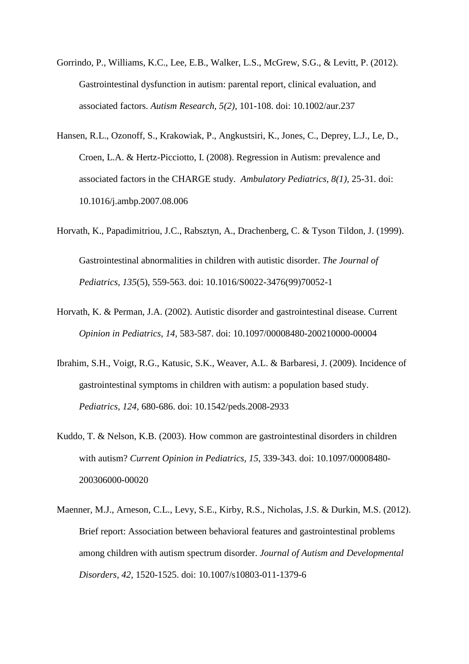- Gorrindo, P., Williams, K.C., Lee, E.B., Walker, L.S., McGrew, S.G., & Levitt, P. (2012). Gastrointestinal dysfunction in autism: parental report, clinical evaluation, and associated factors. *Autism Research*, *5(2),* 101-108. doi: 10.1002/aur.237
- Hansen, R.L., Ozonoff, S., Krakowiak, P., Angkustsiri, K., Jones, C., Deprey, L.J., Le, D., Croen, L.A. & Hertz-Picciotto, I. (2008). Regression in Autism: prevalence and associated factors in the CHARGE study. *Ambulatory Pediatrics, 8(1),* 25-31. doi: 10.1016/j.ambp.2007.08.006
- Horvath, K., Papadimitriou, J.C., Rabsztyn, A., Drachenberg, C. & Tyson Tildon, J. (1999). Gastrointestinal abnormalities in children with autistic disorder. *The Journal of Pediatrics, 135*(5), 559-563. doi: 10.1016/S0022-3476(99)70052-1
- Horvath, K. & Perman, J.A. (2002). Autistic disorder and gastrointestinal disease. Current *Opinion in Pediatrics, 14,* 583-587. doi: 10.1097/00008480-200210000-00004
- Ibrahim, S.H., Voigt, R.G., Katusic, S.K., Weaver, A.L. & Barbaresi, J. (2009). Incidence of gastrointestinal symptoms in children with autism: a population based study. *Pediatrics, 124,* 680-686. doi: 10.1542/peds.2008-2933
- Kuddo, T. & Nelson, K.B. (2003). How common are gastrointestinal disorders in children with autism? *Current Opinion in Pediatrics, 15,* 339-343. doi: 10.1097/00008480- 200306000-00020
- Maenner, M.J., Arneson, C.L., Levy, S.E., Kirby, R.S., Nicholas, J.S. & Durkin, M.S. (2012). Brief report: Association between behavioral features and gastrointestinal problems among children with autism spectrum disorder. *Journal of Autism and Developmental Disorders, 42,* 1520-1525. doi: 10.1007/s10803-011-1379-6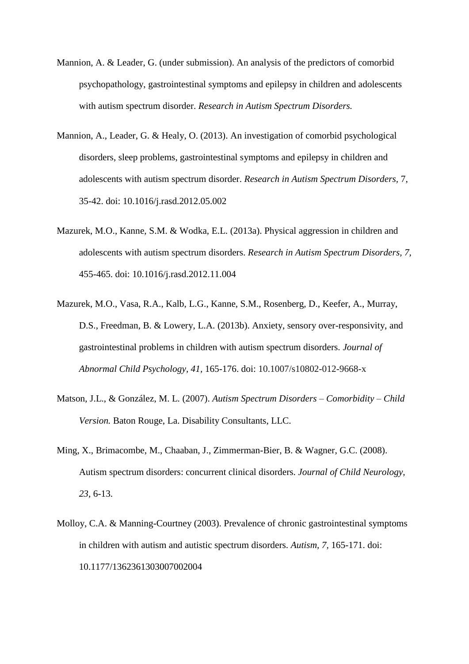- Mannion, A. & Leader, G. (under submission). An analysis of the predictors of comorbid psychopathology, gastrointestinal symptoms and epilepsy in children and adolescents with autism spectrum disorder. *Research in Autism Spectrum Disorders.*
- Mannion, A., Leader, G. & Healy, O. (2013). An investigation of comorbid psychological disorders, sleep problems, gastrointestinal symptoms and epilepsy in children and adolescents with autism spectrum disorder. *Research in Autism Spectrum Disorders,* 7, 35-42. doi: 10.1016/j.rasd.2012.05.002
- Mazurek, M.O., Kanne, S.M. & Wodka, E.L. (2013a). Physical aggression in children and adolescents with autism spectrum disorders. *Research in Autism Spectrum Disorders, 7,* 455-465. doi: 10.1016/j.rasd.2012.11.004
- Mazurek, M.O., Vasa, R.A., Kalb, L.G., Kanne, S.M., Rosenberg, D., Keefer, A., Murray, D.S., Freedman, B. & Lowery, L.A. (2013b). Anxiety, sensory over-responsivity, and gastrointestinal problems in children with autism spectrum disorders. *Journal of Abnormal Child Psychology, 41,* 165-176. doi: 10.1007/s10802-012-9668-x
- Matson, J.L., & González, M. L. (2007). *Autism Spectrum Disorders – Comorbidity – Child Version.* Baton Rouge, La. Disability Consultants, LLC.
- Ming, X., Brimacombe, M., Chaaban, J., Zimmerman-Bier, B. & Wagner, G.C. (2008). Autism spectrum disorders: concurrent clinical disorders. *Journal of Child Neurology, 23,* 6-13.
- Molloy, C.A. & Manning-Courtney (2003). Prevalence of chronic gastrointestinal symptoms in children with autism and autistic spectrum disorders. *Autism, 7,* 165-171. doi: 10.1177/1362361303007002004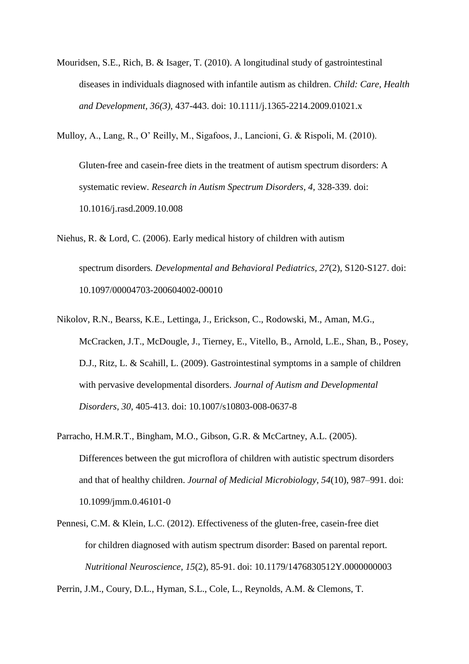Mouridsen, S.E., Rich, B. & Isager, T. (2010). A longitudinal study of gastrointestinal diseases in individuals diagnosed with infantile autism as children. *Child: Care, Health and Development, 36(3),* 437-443. doi: 10.1111/j.1365-2214.2009.01021.x

Mulloy, A., Lang, R., O' Reilly, M., Sigafoos, J., Lancioni, G. & Rispoli, M. (2010).

Gluten-free and casein-free diets in the treatment of autism spectrum disorders: A systematic review. *Research in Autism Spectrum Disorders, 4,* 328-339. doi: 10.1016/j.rasd.2009.10.008

- Niehus, R. & Lord, C. (2006). Early medical history of children with autism spectrum disorders*. Developmental and Behavioral Pediatrics, 27*(2), S120-S127. doi: 10.1097/00004703-200604002-00010
- Nikolov, R.N., Bearss, K.E., Lettinga, J., Erickson, C., Rodowski, M., Aman, M.G., McCracken, J.T., McDougle, J., Tierney, E., Vitello, B., Arnold, L.E., Shan, B., Posey, D.J., Ritz, L. & Scahill, L. (2009). Gastrointestinal symptoms in a sample of children with pervasive developmental disorders. *Journal of Autism and Developmental Disorders, 30,* 405-413. doi: 10.1007/s10803-008-0637-8
- Parracho, H.M.R.T., Bingham, M.O., Gibson, G.R. & McCartney, A.L. (2005). Differences between the gut microflora of children with autistic spectrum disorders and that of healthy children. *Journal of Medicial Microbiology, 54*(10), 987–991. doi: 10.1099/jmm.0.46101-0
- Pennesi, C.M. & Klein, L.C. (2012). Effectiveness of the gluten-free, casein-free diet for children diagnosed with autism spectrum disorder: Based on parental report. *Nutritional Neuroscience, 15*(2), 85-91. doi: 10.1179/1476830512Y.0000000003

Perrin, J.M., Coury, D.L., Hyman, S.L., Cole, L., Reynolds, A.M. & Clemons, T.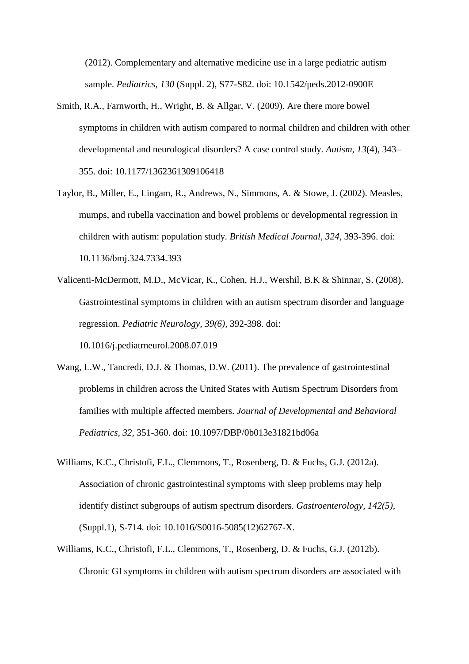(2012). Complementary and alternative medicine use in a large pediatric autism sample. *Pediatrics, 130* (Suppl. 2), S77-S82. doi: 10.1542/peds.2012-0900E

- Smith, R.A., Farnworth, H., Wright, B. & Allgar, V. (2009). Are there more bowel symptoms in children with autism compared to normal children and children with other developmental and neurological disorders? A case control study. *Autism, 13*(4), 343– 355. doi: 10.1177/1362361309106418
- Taylor, B., Miller, E., Lingam, R., Andrews, N., Simmons, A. & Stowe, J. (2002). Measles, mumps, and rubella vaccination and bowel problems or developmental regression in children with autism: population study. *British Medical Journal, 324*, 393-396. doi: 10.1136/bmj.324.7334.393
- Valicenti-McDermott, M.D., McVicar, K., Cohen, H.J., Wershil, B.K & Shinnar, S. (2008). Gastrointestinal symptoms in children with an autism spectrum disorder and language regression. *Pediatric Neurology, 39(6),* 392-398. doi:

10.1016/j.pediatrneurol.2008.07.019

- Wang, L.W., Tancredi, D.J. & Thomas, D.W. (2011). The prevalence of gastrointestinal problems in children across the United States with Autism Spectrum Disorders from families with multiple affected members. *Journal of Developmental and Behavioral Pediatrics, 32,* 351-360. doi: 10.1097/DBP/0b013e31821bd06a
- Williams, K.C., Christofi, F.L., Clemmons, T., Rosenberg, D. & Fuchs, G.J. (2012a). Association of chronic gastrointestinal symptoms with sleep problems may help identify distinct subgroups of autism spectrum disorders. *Gastroenterology, 142(5),* (Suppl.1), S-714. doi: 10.1016/S0016-5085(12)62767-X.
- Williams, K.C., Christofi, F.L., Clemmons, T., Rosenberg, D. & Fuchs, G.J. (2012b). Chronic GI symptoms in children with autism spectrum disorders are associated with